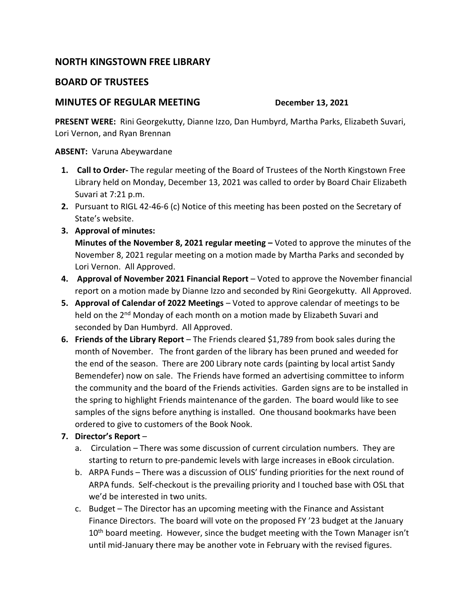## **NORTH KINGSTOWN FREE LIBRARY**

## **BOARD OF TRUSTEES**

## **MINUTES OF REGULAR MEETING DECEMBER 13, 2021**

**PRESENT WERE:** Rini Georgekutty, Dianne Izzo, Dan Humbyrd, Martha Parks, Elizabeth Suvari, Lori Vernon, and Ryan Brennan

**ABSENT:** Varuna Abeywardane

- **1. Call to Order-** The regular meeting of the Board of Trustees of the North Kingstown Free Library held on Monday, December 13, 2021 was called to order by Board Chair Elizabeth Suvari at 7:21 p.m.
- **2.** Pursuant to RIGL 42-46-6 (c) Notice of this meeting has been posted on the Secretary of State's website.
- **3. Approval of minutes:**

**Minutes of the November 8, 2021 regular meeting –** Voted to approve the minutes of the November 8, 2021 regular meeting on a motion made by Martha Parks and seconded by Lori Vernon. All Approved.

- **4. Approval of November 2021 Financial Report** Voted to approve the November financial report on a motion made by Dianne Izzo and seconded by Rini Georgekutty. All Approved.
- **5. Approval of Calendar of 2022 Meetings**  Voted to approve calendar of meetings to be held on the 2<sup>nd</sup> Monday of each month on a motion made by Elizabeth Suvari and seconded by Dan Humbyrd. All Approved.
- **6. Friends of the Library Report** The Friends cleared \$1,789 from book sales during the month of November. The front garden of the library has been pruned and weeded for the end of the season. There are 200 Library note cards (painting by local artist Sandy Bemendefer) now on sale. The Friends have formed an advertising committee to inform the community and the board of the Friends activities. Garden signs are to be installed in the spring to highlight Friends maintenance of the garden. The board would like to see samples of the signs before anything is installed. One thousand bookmarks have been ordered to give to customers of the Book Nook.
- **7. Director's Report**
	- a. Circulation There was some discussion of current circulation numbers. They are starting to return to pre-pandemic levels with large increases in eBook circulation.
	- b. ARPA Funds There was a discussion of OLIS' funding priorities for the next round of ARPA funds. Self-checkout is the prevailing priority and I touched base with OSL that we'd be interested in two units.
	- c. Budget The Director has an upcoming meeting with the Finance and Assistant Finance Directors. The board will vote on the proposed FY '23 budget at the January 10<sup>th</sup> board meeting. However, since the budget meeting with the Town Manager isn't until mid-January there may be another vote in February with the revised figures.